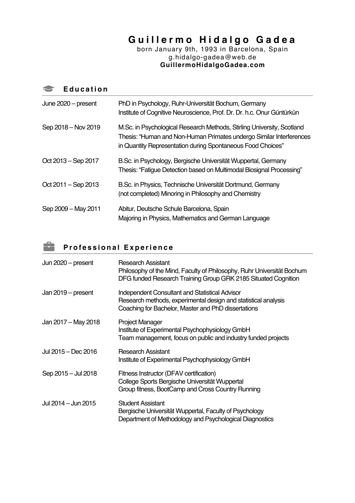# **Guillermo Hidalgo Gade a**

born January 9th, 1993 in Barcelona, Spain g.hidalgo-gadea@web.de **GuillermoHidalgoGadea.com**

|  | <b>Education</b> |  |  |  |  |
|--|------------------|--|--|--|--|
|--|------------------|--|--|--|--|

| June 2020 - present     | PhD in Psychology, Ruhr-Universität Bochum, Germany<br>Institute of Cognitive Neuroscience, Prof. Dr. Dr. h.c. Onur Güntürkün                                                                                |
|-------------------------|--------------------------------------------------------------------------------------------------------------------------------------------------------------------------------------------------------------|
| Sep 2018 - Nov 2019     | M.Sc. in Psychological Research Methods, Stirling University, Scotland<br>Thesis: "Human and Non-Human Primates undergo Similar Interferences<br>in Quantity Representation during Spontaneous Food Choices" |
| Oct 2013 – Sep 2017     | B.Sc. in Psychology, Bergische Universität Wuppertal, Germany<br>Thesis: "Fatigue Detection based on Multimodal Biosignal Processing"                                                                        |
| Oct $2011 -$ Sep $2013$ | B.Sc. in Physics, Technische Universität Dortmund, Germany<br>(not completed) Minoring in Philosophy and Chemistry                                                                                           |
| Sep 2009 - May 2011     | Abitur, Deutsche Schule Barcelona, Spain<br>Majoring in Physics, Mathematics and German Language                                                                                                             |

# **Professional Experience**

| Jun $2020$ – present | Research Assistant<br>Philosophy of the Mind, Faculty of Philosophy, Ruhr Universität Bochum<br>DFG funded Research Training Group GRK 2185 Situated Cognition                 |
|----------------------|--------------------------------------------------------------------------------------------------------------------------------------------------------------------------------|
| Jan $2019$ – present | <b>Independent Consultant and Statistical Advisor</b><br>Research methods, experimental design and statistical analysis<br>Coaching for Bachelor, Master and PhD dissertations |
| Jan 2017 - May 2018  | <b>Project Manager</b><br>Institute of Experimental Psychophysiology GmbH<br>Team management, focus on public and industry funded projects                                     |
| Jul 2015 – Dec 2016  | <b>Research Assistant</b><br>Institute of Experimental Psychophysiology GmbH                                                                                                   |
| Sep 2015 - Jul 2018  | Fitness Instructor (DFAV certification)<br>College Sports Bergische Universität Wuppertal<br>Group fitness, BootCamp and Cross Country Running                                 |
| Jul 2014 – Jun 2015  | <b>Student Assistant</b><br>Bergische Universität Wuppertal, Faculty of Psychology<br>Department of Methodology and Psychological Diagnostics                                  |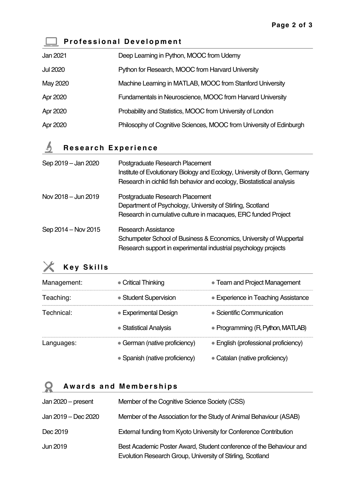### **Professional Development**

| Jan 2021        | Deep Learning in Python, MOOC from Udemy                            |
|-----------------|---------------------------------------------------------------------|
| <b>Jul 2020</b> | Python for Research, MOOC from Harvard University                   |
| May 2020        | Machine Learning in MATLAB, MOOC from Stanford University           |
| Apr 2020        | Fundamentals in Neuroscience, MOOC from Harvard University          |
| Apr 2020        | Probability and Statistics, MOOC from University of London          |
| Apr 2020        | Philosophy of Cognitive Sciences, MOOC from University of Edinburgh |

#### $\mathfrak{h}$ **Research Experience**

| Sep 2019 - Jan 2020 | Postgraduate Research Placement<br>Institute of Evolutionary Biology and Ecology, University of Bonn, Germany<br>Research in cichlid fish behavior and ecology, Biostatistical analysis |
|---------------------|-----------------------------------------------------------------------------------------------------------------------------------------------------------------------------------------|
| Nov 2018 - Jun 2019 | Postgraduate Research Placement<br>Department of Psychology, University of Stirling, Scotland<br>Research in cumulative culture in macaques, ERC funded Project                         |
| Sep 2014 - Nov 2015 | <b>Research Assistance</b><br>Schumpeter School of Business & Economics, University of Wuppertal<br>Research support in experimental industrial psychology projects                     |



| Management: | • Critical Thinking            | • Team and Project Management        |
|-------------|--------------------------------|--------------------------------------|
| Teaching:   | • Student Supervision          | • Experience in Teaching Assistance  |
| Technical:  | • Experimental Design          | $\bullet$ Scientific Communication   |
|             | • Statistical Analysis         | • Programming (R, Python, MATLAB)    |
| Languages:  | • German (native proficiency)  | • English (professional proficiency) |
|             | • Spanish (native proficiency) | • Catalan (native proficiency)       |

# **Awards and Memberships**

| Jan $2020$ – present | Member of the Cognitive Science Society (CSS)                                                                                     |
|----------------------|-----------------------------------------------------------------------------------------------------------------------------------|
| Jan 2019 - Dec 2020  | Member of the Association for the Study of Animal Behaviour (ASAB)                                                                |
| Dec 2019             | External funding from Kyoto University for Conference Contribution                                                                |
| Jun 2019             | Best Academic Poster Award, Student conference of the Behaviour and<br>Evolution Research Group, University of Stirling, Scotland |